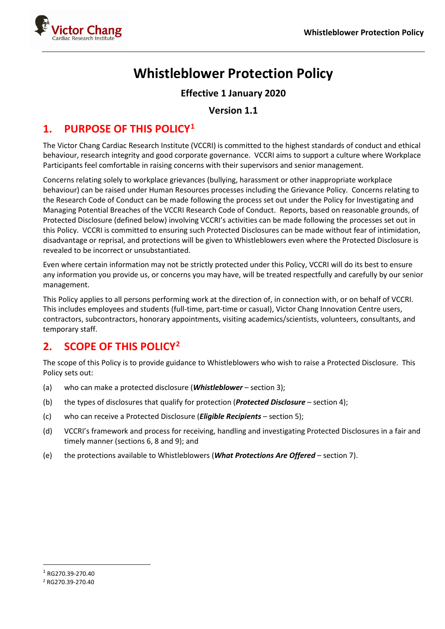

# **Whistleblower Protection Policy**

### **Effective 1 January 2020**

### **Version 1.1**

### **1. PURPOSE OF THIS POLICY[1](#page-0-0)**

The Victor Chang Cardiac Research Institute (VCCRI) is committed to the highest standards of conduct and ethical behaviour, research integrity and good corporate governance. VCCRI aims to support a culture where Workplace Participants feel comfortable in raising concerns with their supervisors and senior management.

Concerns relating solely to workplace grievances (bullying, harassment or other inappropriate workplace behaviour) can be raised under Human Resources processes including the Grievance Policy. Concerns relating to the Research Code of Conduct can be made following the process set out under the Policy for Investigating and Managing Potential Breaches of the VCCRI Research Code of Conduct. Reports, based on reasonable grounds, of Protected Disclosure (defined below) involving VCCRI's activities can be made following the processes set out in this Policy. VCCRI is committed to ensuring such Protected Disclosures can be made without fear of intimidation, disadvantage or reprisal, and protections will be given to Whistleblowers even where the Protected Disclosure is revealed to be incorrect or unsubstantiated.

Even where certain information may not be strictly protected under this Policy, VCCRI will do its best to ensure any information you provide us, or concerns you may have, will be treated respectfully and carefully by our senior management.

This Policy applies to all persons performing work at the direction of, in connection with, or on behalf of VCCRI. This includes employees and students (full-time, part-time or casual), Victor Chang Innovation Centre users, contractors, subcontractors, honorary appointments, visiting academics/scientists, volunteers, consultants, and temporary staff.

## **2. SCOPE OF THIS POLICY[2](#page-0-1)**

The scope of this Policy is to provide guidance to Whistleblowers who wish to raise a Protected Disclosure. This Policy sets out:

- (a) who can make a protected disclosure (*Whistleblower* section 3);
- (b) the types of disclosures that qualify for protection (*Protected Disclosure* section 4);
- (c) who can receive a Protected Disclosure (*Eligible Recipients* section 5);
- (d) VCCRI's framework and process for receiving, handling and investigating Protected Disclosures in a fair and timely manner (sections 6, 8 and 9); and
- (e) the protections available to Whistleblowers (*What Protections Are Offered* section 7).

<span id="page-0-0"></span><sup>1</sup> RG270.39-270.40

<span id="page-0-1"></span><sup>2</sup> RG270.39-270.40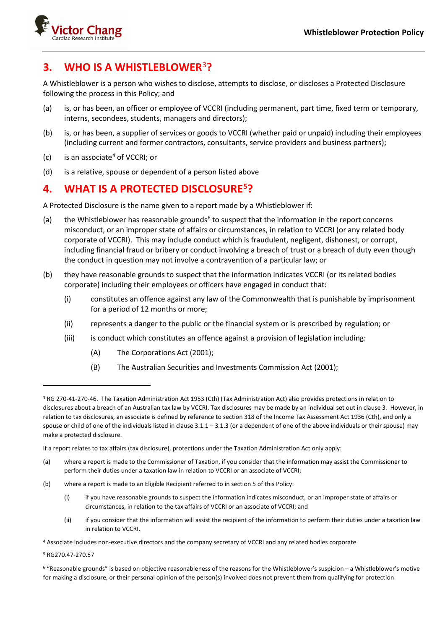

## **3. WHO IS A WHISTLEBLOWER**[3](#page-1-0)**?**

A Whistleblower is a person who wishes to disclose, attempts to disclose, or discloses a Protected Disclosure following the process in this Policy; and

- (a) is, or has been, an officer or employee of VCCRI (including permanent, part time, fixed term or temporary, interns, secondees, students, managers and directors);
- (b) is, or has been, a supplier of services or goods to VCCRI (whether paid or unpaid) including their employees (including current and former contractors, consultants, service providers and business partners);
- $(c)$  is an associate<sup>[4](#page-1-1)</sup> of VCCRI; or
- (d) is a relative, spouse or dependent of a person listed above

## **4. WHAT IS A PROTECTED DISCLOSURE[5](#page-1-2)?**

A Protected Disclosure is the name given to a report made by a Whistleblower if:

- (a) the Whistleblower has reasonable grounds<sup>[6](#page-1-3)</sup> to suspect that the information in the report concerns misconduct, or an improper state of affairs or circumstances, in relation to VCCRI (or any related body corporate of VCCRI). This may include conduct which is fraudulent, negligent, dishonest, or corrupt, including financial fraud or bribery or conduct involving a breach of trust or a breach of duty even though the conduct in question may not involve a contravention of a particular law; or
- (b) they have reasonable grounds to suspect that the information indicates VCCRI (or its related bodies corporate) including their employees or officers have engaged in conduct that:
	- (i) constitutes an offence against any law of the Commonwealth that is punishable by imprisonment for a period of 12 months or more;
	- (ii) represents a danger to the public or the financial system or is prescribed by regulation; or
	- (iii) is conduct which constitutes an offence against a provision of legislation including:
		- (A) The Corporations Act (2001);
		- (B) The Australian Securities and Investments Commission Act (2001);

- (a) where a report is made to the Commissioner of Taxation, if you consider that the information may assist the Commissioner to perform their duties under a taxation law in relation to VCCRI or an associate of VCCRI;
- (b) where a report is made to an Eligible Recipient referred to in section 5 of this Policy:
	- (i) if you have reasonable grounds to suspect the information indicates misconduct, or an improper state of affairs or circumstances, in relation to the tax affairs of VCCRI or an associate of VCCRI; and
	- (ii) if you consider that the information will assist the recipient of the information to perform their duties under a taxation law in relation to VCCRI.
- <span id="page-1-1"></span><sup>4</sup> Associate includes non-executive directors and the company secretary of VCCRI and any related bodies corporate

<span id="page-1-2"></span><sup>5</sup> RG270.47-270.57

<span id="page-1-0"></span><sup>3</sup> RG 270-41-270-46. The Taxation Administration Act 1953 (Cth) (Tax Administration Act) also provides protections in relation to disclosures about a breach of an Australian tax law by VCCRI. Tax disclosures may be made by an individual set out in clause 3. However, in relation to tax disclosures, an associate is defined by reference to section 318 of the Income Tax Assessment Act 1936 (Cth), and only a spouse or child of one of the individuals listed in clause 3.1.1 – 3.1.3 (or a dependent of one of the above individuals or their spouse) may make a protected disclosure.

If a report relates to tax affairs (tax disclosure), protections under the Taxation Administration Act only apply:

<span id="page-1-3"></span><sup>6</sup> "Reasonable grounds" is based on objective reasonableness of the reasons for the Whistleblower's suspicion – a Whistleblower's motive for making a disclosure, or their personal opinion of the person(s) involved does not prevent them from qualifying for protection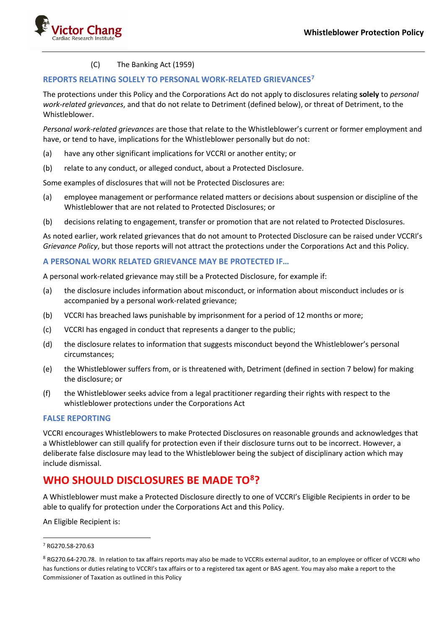

#### (C) The Banking Act (1959)

#### **REPORTS RELATING SOLELY TO PERSONAL WORK-RELATED GRIEVANCES[7](#page-2-0)**

The protections under this Policy and the Corporations Act do not apply to disclosures relating **solely** to *personal work-related grievances*, and that do not relate to Detriment (defined below), or threat of Detriment, to the Whistleblower.

*Personal work-related grievances* are those that relate to the Whistleblower's current or former employment and have, or tend to have, implications for the Whistleblower personally but do not:

- (a) have any other significant implications for VCCRI or another entity; or
- (b) relate to any conduct, or alleged conduct, about a Protected Disclosure.

Some examples of disclosures that will not be Protected Disclosures are:

- (a) employee management or performance related matters or decisions about suspension or discipline of the Whistleblower that are not related to Protected Disclosures; or
- (b) decisions relating to engagement, transfer or promotion that are not related to Protected Disclosures.

As noted earlier, work related grievances that do not amount to Protected Disclosure can be raised under VCCRI's *Grievance Policy*, but those reports will not attract the protections under the Corporations Act and this Policy.

#### **A PERSONAL WORK RELATED GRIEVANCE MAY BE PROTECTED IF…**

A personal work-related grievance may still be a Protected Disclosure, for example if:

- (a) the disclosure includes information about misconduct, or information about misconduct includes or is accompanied by a personal work-related grievance;
- (b) VCCRI has breached laws punishable by imprisonment for a period of 12 months or more;
- (c) VCCRI has engaged in conduct that represents a danger to the public;
- (d) the disclosure relates to information that suggests misconduct beyond the Whistleblower's personal circumstances;
- (e) the Whistleblower suffers from, or is threatened with, Detriment (defined in section 7 below) for making the disclosure; or
- (f) the Whistleblower seeks advice from a legal practitioner regarding their rights with respect to the whistleblower protections under the Corporations Act

#### **FALSE REPORTING**

VCCRI encourages Whistleblowers to make Protected Disclosures on reasonable grounds and acknowledges that a Whistleblower can still qualify for protection even if their disclosure turns out to be incorrect. However, a deliberate false disclosure may lead to the Whistleblower being the subject of disciplinary action which may include dismissal.

## **WHO SHOULD DISCLOSURES BE MADE TO[8](#page-2-1)?**

A Whistleblower must make a Protected Disclosure directly to one of VCCRI's Eligible Recipients in order to be able to qualify for protection under the Corporations Act and this Policy.

An Eligible Recipient is:

<span id="page-2-0"></span><sup>7</sup> RG270.58-270.63

<span id="page-2-1"></span><sup>8</sup> RG270.64-270.78. In relation to tax affairs reports may also be made to VCCRIs external auditor, to an employee or officer of VCCRI who has functions or duties relating to VCCRI's tax affairs or to a registered tax agent or BAS agent. You may also make a report to the Commissioner of Taxation as outlined in this Policy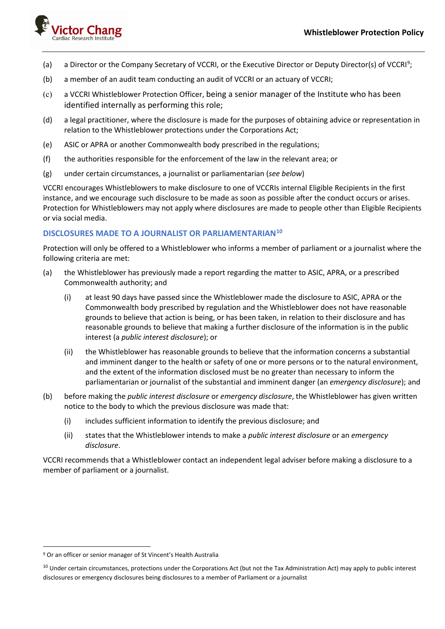

- (a) a Director or the Company Secretary of VCCRI, or the Executive Director or Deputy Director(s) of VCCRI<sup>[9](#page-3-0)</sup>;
- (b) a member of an audit team conducting an audit of VCCRI or an actuary of VCCRI;
- (c) a VCCRI Whistleblower Protection Officer, being a senior manager of the Institute who has been identified internally as performing this role;
- (d) a legal practitioner, where the disclosure is made for the purposes of obtaining advice or representation in relation to the Whistleblower protections under the Corporations Act;
- (e) ASIC or APRA or another Commonwealth body prescribed in the regulations;
- (f) the authorities responsible for the enforcement of the law in the relevant area; or
- (g) under certain circumstances, a journalist or parliamentarian (*see below*)

VCCRI encourages Whistleblowers to make disclosure to one of VCCRIs internal Eligible Recipients in the first instance, and we encourage such disclosure to be made as soon as possible after the conduct occurs or arises. Protection for Whistleblowers may not apply where disclosures are made to people other than Eligible Recipients or via social media.

#### **DISCLOSURES MADE TO A JOURNALIST OR PARLIAMENTARIAN[10](#page-3-1)**

Protection will only be offered to a Whistleblower who informs a member of parliament or a journalist where the following criteria are met:

- (a) the Whistleblower has previously made a report regarding the matter to ASIC, APRA, or a prescribed Commonwealth authority; and
	- (i) at least 90 days have passed since the Whistleblower made the disclosure to ASIC, APRA or the Commonwealth body prescribed by regulation and the Whistleblower does not have reasonable grounds to believe that action is being, or has been taken, in relation to their disclosure and has reasonable grounds to believe that making a further disclosure of the information is in the public interest (a *public interest disclosure*); or
	- (ii) the Whistleblower has reasonable grounds to believe that the information concerns a substantial and imminent danger to the health or safety of one or more persons or to the natural environment, and the extent of the information disclosed must be no greater than necessary to inform the parliamentarian or journalist of the substantial and imminent danger (an *emergency disclosure*); and
- (b) before making the *public interest disclosure* or *emergency disclosure*, the Whistleblower has given written notice to the body to which the previous disclosure was made that:
	- (i) includes sufficient information to identify the previous disclosure; and
	- (ii) states that the Whistleblower intends to make a *public interest disclosure* or an *emergency disclosure*.

VCCRI recommends that a Whistleblower contact an independent legal adviser before making a disclosure to a member of parliament or a journalist.

<span id="page-3-0"></span><sup>9</sup> Or an officer or senior manager of St Vincent's Health Australia

<span id="page-3-1"></span><sup>&</sup>lt;sup>10</sup> Under certain circumstances, protections under the Corporations Act (but not the Tax Administration Act) may apply to public interest disclosures or emergency disclosures being disclosures to a member of Parliament or a journalist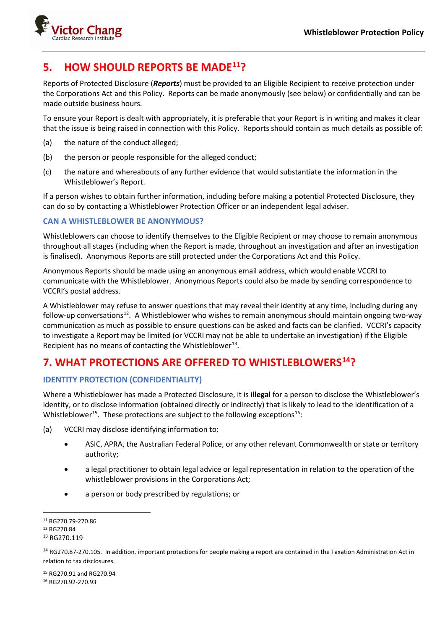

## **5. HOW SHOULD REPORTS BE MADE[11?](#page-4-0)**

Reports of Protected Disclosure (*Reports*) must be provided to an Eligible Recipient to receive protection under the Corporations Act and this Policy. Reports can be made anonymously (see below) or confidentially and can be made outside business hours.

To ensure your Report is dealt with appropriately, it is preferable that your Report is in writing and makes it clear that the issue is being raised in connection with this Policy. Reports should contain as much details as possible of:

- (a) the nature of the conduct alleged;
- (b) the person or people responsible for the alleged conduct;
- (c) the nature and whereabouts of any further evidence that would substantiate the information in the Whistleblower's Report.

If a person wishes to obtain further information, including before making a potential Protected Disclosure, they can do so by contacting a Whistleblower Protection Officer or an independent legal adviser.

#### **CAN A WHISTLEBLOWER BE ANONYMOUS?**

Whistleblowers can choose to identify themselves to the Eligible Recipient or may choose to remain anonymous throughout all stages (including when the Report is made, throughout an investigation and after an investigation is finalised). Anonymous Reports are still protected under the Corporations Act and this Policy.

Anonymous Reports should be made using an anonymous email address, which would enable VCCRI to communicate with the Whistleblower. Anonymous Reports could also be made by sending correspondence to VCCRI's postal address.

A Whistleblower may refuse to answer questions that may reveal their identity at any time, including during any follow-up conversations<sup>12</sup>. A Whistleblower who wishes to remain anonymous should maintain ongoing two-way communication as much as possible to ensure questions can be asked and facts can be clarified. VCCRI's capacity to investigate a Report may be limited (or VCCRI may not be able to undertake an investigation) if the Eligible Recipient has no means of contacting the Whistleblower<sup>[13](#page-4-2)</sup>.

## **7. WHAT PROTECTIONS ARE OFFERED TO WHISTLEBLOWERS[14?](#page-4-3)**

### **IDENTITY PROTECTION (CONFIDENTIALITY)**

Where a Whistleblower has made a Protected Disclosure, it is **illegal** for a person to disclose the Whistleblower's identity, or to disclose information (obtained directly or indirectly) that is likely to lead to the identification of a Whistleblower<sup>15</sup>. These protections are subject to the following exceptions<sup>16</sup>:

(a) VCCRI may disclose identifying information to:

- ASIC, APRA, the Australian Federal Police, or any other relevant Commonwealth or state or territory authority;
- a legal practitioner to obtain legal advice or legal representation in relation to the operation of the whistleblower provisions in the Corporations Act;
- a person or body prescribed by regulations; or

<span id="page-4-5"></span><span id="page-4-4"></span><sup>15</sup> RG270.91 and RG270.94 <sup>16</sup> RG270.92-270.93

<span id="page-4-0"></span><sup>11</sup> RG270.79-270.86

<span id="page-4-1"></span><sup>12</sup> RG270.84

<span id="page-4-2"></span><sup>&</sup>lt;sup>13</sup> RG270.119

<span id="page-4-3"></span><sup>&</sup>lt;sup>14</sup> RG270.87-270.105. In addition, important protections for people making a report are contained in the Taxation Administration Act in relation to tax disclosures.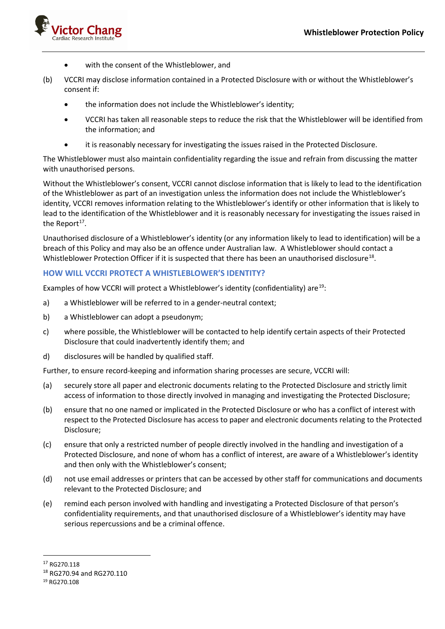

- with the consent of the Whistleblower, and
- (b) VCCRI may disclose information contained in a Protected Disclosure with or without the Whistleblower's consent if:
	- the information does not include the Whistleblower's identity;
	- VCCRI has taken all reasonable steps to reduce the risk that the Whistleblower will be identified from the information; and
	- it is reasonably necessary for investigating the issues raised in the Protected Disclosure.

The Whistleblower must also maintain confidentiality regarding the issue and refrain from discussing the matter with unauthorised persons.

Without the Whistleblower's consent, VCCRI cannot disclose information that is likely to lead to the identification of the Whistleblower as part of an investigation unless the information does not include the Whistleblower's identity, VCCRI removes information relating to the Whistleblower's identify or other information that is likely to lead to the identification of the Whistleblower and it is reasonably necessary for investigating the issues raised in the Report<sup>[17](#page-5-0)</sup>.

Unauthorised disclosure of a Whistleblower's identity (or any information likely to lead to identification) will be a breach of this Policy and may also be an offence under Australian law. A Whistleblower should contact a Whistleblower Protection Officer if it is suspected that there has been an unauthorised disclosure<sup>18</sup>.

#### **HOW WILL VCCRI PROTECT A WHISTLEBLOWER'S IDENTITY?**

Examples of how VCCRI will protect a Whistleblower's identity (confidentiality) are<sup>19</sup>:

- a) a Whistleblower will be referred to in a gender-neutral context;
- b) a Whistleblower can adopt a pseudonym;
- c) where possible, the Whistleblower will be contacted to help identify certain aspects of their Protected Disclosure that could inadvertently identify them; and
- d) disclosures will be handled by qualified staff.

Further, to ensure record-keeping and information sharing processes are secure, VCCRI will:

- (a) securely store all paper and electronic documents relating to the Protected Disclosure and strictly limit access of information to those directly involved in managing and investigating the Protected Disclosure;
- (b) ensure that no one named or implicated in the Protected Disclosure or who has a conflict of interest with respect to the Protected Disclosure has access to paper and electronic documents relating to the Protected Disclosure;
- (c) ensure that only a restricted number of people directly involved in the handling and investigation of a Protected Disclosure, and none of whom has a conflict of interest, are aware of a Whistleblower's identity and then only with the Whistleblower's consent;
- (d) not use email addresses or printers that can be accessed by other staff for communications and documents relevant to the Protected Disclosure; and
- (e) remind each person involved with handling and investigating a Protected Disclosure of that person's confidentiality requirements, and that unauthorised disclosure of a Whistleblower's identity may have serious repercussions and be a criminal offence.

<span id="page-5-0"></span><sup>17</sup> RG270.118

<span id="page-5-1"></span><sup>18</sup> RG270.94 and RG270.110

<span id="page-5-2"></span><sup>19</sup> RG270.108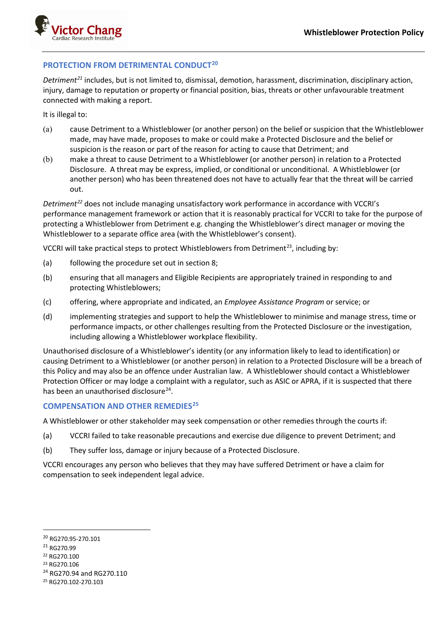

#### **PROTECTION FROM DETRIMENTAL CONDUCT[20](#page-6-0)**

*Detriment[21](#page-6-1)* includes, but is not limited to, dismissal, demotion, harassment, discrimination, disciplinary action, injury, damage to reputation or property or financial position, bias, threats or other unfavourable treatment connected with making a report.

It is illegal to:

- (a) cause Detriment to a Whistleblower (or another person) on the belief or suspicion that the Whistleblower made, may have made, proposes to make or could make a Protected Disclosure and the belief or suspicion is the reason or part of the reason for acting to cause that Detriment; and
- (b) make a threat to cause Detriment to a Whistleblower (or another person) in relation to a Protected Disclosure. A threat may be express, implied, or conditional or unconditional. A Whistleblower (or another person) who has been threatened does not have to actually fear that the threat will be carried out.

*Detriment[22](#page-6-2)* does not include managing unsatisfactory work performance in accordance with VCCRI's performance management framework or action that it is reasonably practical for VCCRI to take for the purpose of protecting a Whistleblower from Detriment e.g. changing the Whistleblower's direct manager or moving the Whistleblower to a separate office area (with the Whistleblower's consent).

VCCRI will take practical steps to protect Whistleblowers from Detriment<sup>23</sup>, including by:

- (a) following the procedure set out in section 8;
- (b) ensuring that all managers and Eligible Recipients are appropriately trained in responding to and protecting Whistleblowers;
- (c) offering, where appropriate and indicated, an *Employee Assistance Program* or service; or
- (d) implementing strategies and support to help the Whistleblower to minimise and manage stress, time or performance impacts, or other challenges resulting from the Protected Disclosure or the investigation, including allowing a Whistleblower workplace flexibility.

Unauthorised disclosure of a Whistleblower's identity (or any information likely to lead to identification) or causing Detriment to a Whistleblower (or another person) in relation to a Protected Disclosure will be a breach of this Policy and may also be an offence under Australian law. A Whistleblower should contact a Whistleblower Protection Officer or may lodge a complaint with a regulator, such as ASIC or APRA, if it is suspected that there has been an unauthorised disclosure $^{24}$ .

#### **COMPENSATION AND OTHER REMEDIES[25](#page-6-5)**

A Whistleblower or other stakeholder may seek compensation or other remedies through the courts if:

- (a) VCCRI failed to take reasonable precautions and exercise due diligence to prevent Detriment; and
- (b) They suffer loss, damage or injury because of a Protected Disclosure.

VCCRI encourages any person who believes that they may have suffered Detriment or have a claim for compensation to seek independent legal advice.

<span id="page-6-0"></span><sup>20</sup> RG270.95-270.101

<span id="page-6-1"></span><sup>21</sup> RG270.99

<span id="page-6-2"></span><sup>22</sup> RG270.100

<span id="page-6-3"></span><sup>23</sup> RG270.106

<span id="page-6-4"></span><sup>&</sup>lt;sup>24</sup> RG270.94 and RG270.110

<span id="page-6-5"></span><sup>25</sup> RG270.102-270.103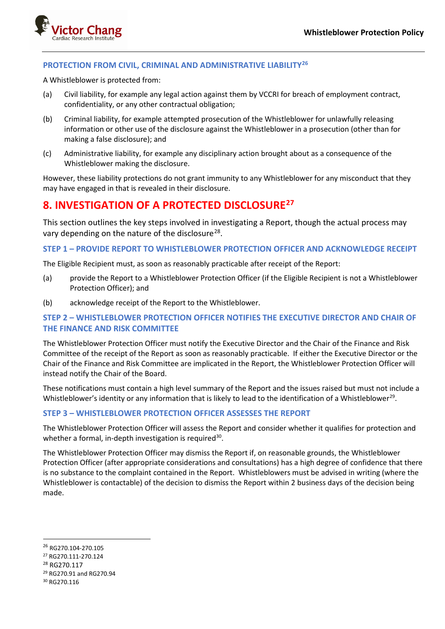

#### **PROTECTION FROM CIVIL, CRIMINAL AND ADMINISTRATIVE LIABILITY[26](#page-7-0)**

A Whistleblower is protected from:

- (a) Civil liability, for example any legal action against them by VCCRI for breach of employment contract, confidentiality, or any other contractual obligation;
- (b) Criminal liability, for example attempted prosecution of the Whistleblower for unlawfully releasing information or other use of the disclosure against the Whistleblower in a prosecution (other than for making a false disclosure); and
- (c) Administrative liability, for example any disciplinary action brought about as a consequence of the Whistleblower making the disclosure.

However, these liability protections do not grant immunity to any Whistleblower for any misconduct that they may have engaged in that is revealed in their disclosure.

### **8. INVESTIGATION OF A PROTECTED DISCLOSURE[27](#page-7-1)**

This section outlines the key steps involved in investigating a Report, though the actual process may vary depending on the nature of the disclosure<sup>28</sup>.

#### **STEP 1 – PROVIDE REPORT TO WHISTLEBLOWER PROTECTION OFFICER AND ACKNOWLEDGE RECEIPT**

The Eligible Recipient must, as soon as reasonably practicable after receipt of the Report:

- (a) provide the Report to a Whistleblower Protection Officer (if the Eligible Recipient is not a Whistleblower Protection Officer); and
- (b) acknowledge receipt of the Report to the Whistleblower.

### **STEP 2 – WHISTLEBLOWER PROTECTION OFFICER NOTIFIES THE EXECUTIVE DIRECTOR AND CHAIR OF THE FINANCE AND RISK COMMITTEE**

The Whistleblower Protection Officer must notify the Executive Director and the Chair of the Finance and Risk Committee of the receipt of the Report as soon as reasonably practicable. If either the Executive Director or the Chair of the Finance and Risk Committee are implicated in the Report, the Whistleblower Protection Officer will instead notify the Chair of the Board.

These notifications must contain a high level summary of the Report and the issues raised but must not include a Whistleblower's identity or any information that is likely to lead to the identification of a Whistleblower<sup>[29](#page-7-3)</sup>.

#### **STEP 3 – WHISTLEBLOWER PROTECTION OFFICER ASSESSES THE REPORT**

The Whistleblower Protection Officer will assess the Report and consider whether it qualifies for protection and whether a formal, in-depth investigation is required<sup>30</sup>.

The Whistleblower Protection Officer may dismiss the Report if, on reasonable grounds, the Whistleblower Protection Officer (after appropriate considerations and consultations) has a high degree of confidence that there is no substance to the complaint contained in the Report. Whistleblowers must be advised in writing (where the Whistleblower is contactable) of the decision to dismiss the Report within 2 business days of the decision being made.

- <span id="page-7-1"></span><sup>27</sup> RG270.111-270.124
- <span id="page-7-2"></span><sup>28</sup> RG270.117
- <span id="page-7-3"></span><sup>29</sup> RG270.91 and RG270.94
- <span id="page-7-4"></span><sup>30</sup> RG270.116

<span id="page-7-0"></span><sup>26</sup> RG270.104-270.105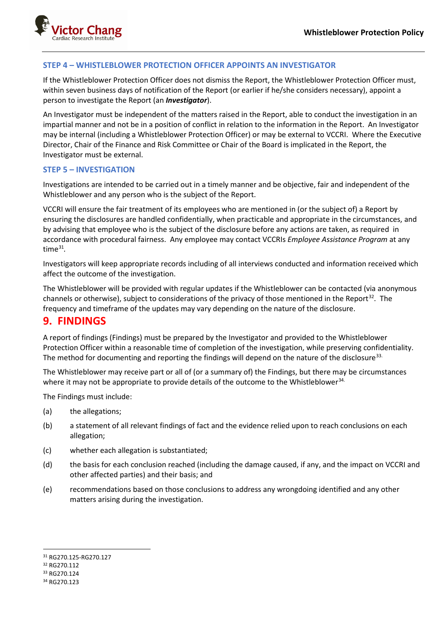

#### **STEP 4 – WHISTLEBLOWER PROTECTION OFFICER APPOINTS AN INVESTIGATOR**

If the Whistleblower Protection Officer does not dismiss the Report, the Whistleblower Protection Officer must, within seven business days of notification of the Report (or earlier if he/she considers necessary), appoint a person to investigate the Report (an *Investigator*).

An Investigator must be independent of the matters raised in the Report, able to conduct the investigation in an impartial manner and not be in a position of conflict in relation to the information in the Report. An Investigator may be internal (including a Whistleblower Protection Officer) or may be external to VCCRI. Where the Executive Director, Chair of the Finance and Risk Committee or Chair of the Board is implicated in the Report, the Investigator must be external.

#### **STEP 5 – INVESTIGATION**

Investigations are intended to be carried out in a timely manner and be objective, fair and independent of the Whistleblower and any person who is the subject of the Report.

VCCRI will ensure the fair treatment of its employees who are mentioned in (or the subject of) a Report by ensuring the disclosures are handled confidentially, when practicable and appropriate in the circumstances, and by advising that employee who is the subject of the disclosure before any actions are taken, as required in accordance with procedural fairness. Any employee may contact VCCRIs *Employee Assistance Program* at any time[31](#page-8-0)*.*

Investigators will keep appropriate records including of all interviews conducted and information received which affect the outcome of the investigation.

The Whistleblower will be provided with regular updates if the Whistleblower can be contacted (via anonymous channels or otherwise), subject to considerations of the privacy of those mentioned in the Report<sup>32</sup>. The frequency and timeframe of the updates may vary depending on the nature of the disclosure.

### **9. FINDINGS**

A report of findings (Findings) must be prepared by the Investigator and provided to the Whistleblower Protection Officer within a reasonable time of completion of the investigation, while preserving confidentiality. The method for documenting and reporting the findings will depend on the nature of the disclosure<sup>[33](#page-8-2).</sup>

The Whistleblower may receive part or all of (or a summary of) the Findings, but there may be circumstances where it may not be appropriate to provide details of the outcome to the Whistleblower<sup>[34](#page-8-3).</sup>

The Findings must include:

- (a) the allegations;
- (b) a statement of all relevant findings of fact and the evidence relied upon to reach conclusions on each allegation;
- (c) whether each allegation is substantiated;
- (d) the basis for each conclusion reached (including the damage caused, if any, and the impact on VCCRI and other affected parties) and their basis; and
- (e) recommendations based on those conclusions to address any wrongdoing identified and any other matters arising during the investigation.

<span id="page-8-0"></span><sup>31</sup> RG270.125-RG270.127

<span id="page-8-1"></span><sup>32</sup> RG270.112

<span id="page-8-2"></span><sup>33</sup> RG270.124

<span id="page-8-3"></span><sup>34</sup> RG270 123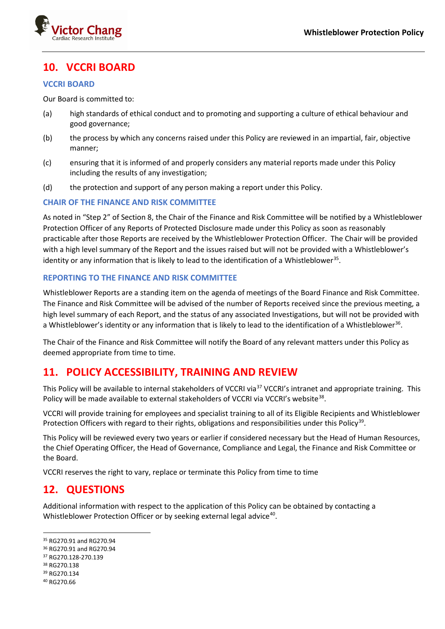

## **10. VCCRI BOARD**

#### **VCCRI BOARD**

Our Board is committed to:

- (a) high standards of ethical conduct and to promoting and supporting a culture of ethical behaviour and good governance;
- (b) the process by which any concerns raised under this Policy are reviewed in an impartial, fair, objective manner;
- (c) ensuring that it is informed of and properly considers any material reports made under this Policy including the results of any investigation;
- (d) the protection and support of any person making a report under this Policy.

#### **CHAIR OF THE FINANCE AND RISK COMMITTEE**

As noted in "Step 2" of Section 8, the Chair of the Finance and Risk Committee will be notified by a Whistleblower Protection Officer of any Reports of Protected Disclosure made under this Policy as soon as reasonably practicable after those Reports are received by the Whistleblower Protection Officer. The Chair will be provided with a high level summary of the Report and the issues raised but will not be provided with a Whistleblower's identity or any information that is likely to lead to the identification of a Whistleblower<sup>[35](#page-9-0)</sup>.

#### **REPORTING TO THE FINANCE AND RISK COMMITTEE**

Whistleblower Reports are a standing item on the agenda of meetings of the Board Finance and Risk Committee. The Finance and Risk Committee will be advised of the number of Reports received since the previous meeting, a high level summary of each Report, and the status of any associated Investigations, but will not be provided with a Whistleblower's identity or any information that is likely to lead to the identification of a Whistleblower<sup>[36](#page-9-1)</sup>.

The Chair of the Finance and Risk Committee will notify the Board of any relevant matters under this Policy as deemed appropriate from time to time.

### **11. POLICY ACCESSIBILITY, TRAINING AND REVIEW**

This Policy will be available to internal stakeholders of VCCRI via<sup>[37](#page-9-2)</sup> VCCRI's intranet and appropriate training. This Policy will be made available to external stakeholders of VCCRI via VCCRI's website<sup>38</sup>.

VCCRI will provide training for employees and specialist training to all of its Eligible Recipients and Whistleblower Protection Officers with regard to their rights, obligations and responsibilities under this Policy<sup>39</sup>.

This Policy will be reviewed every two years or earlier if considered necessary but the Head of Human Resources, the Chief Operating Officer, the Head of Governance, Compliance and Legal, the Finance and Risk Committee or the Board.

VCCRI reserves the right to vary, replace or terminate this Policy from time to time

## **12. QUESTIONS**

Additional information with respect to the application of this Policy can be obtained by contacting a Whistleblower Protection Officer or by seeking external legal advice<sup>[40](#page-9-5)</sup>.

- <span id="page-9-1"></span><sup>36</sup> RG270.91 and RG270.94
- <span id="page-9-2"></span><sup>37</sup> RG270.128-270.139
- <span id="page-9-3"></span><sup>38</sup> RG270.138
- <span id="page-9-4"></span><sup>39</sup> RG270.134

<span id="page-9-0"></span><sup>35</sup> RG270.91 and RG270.94

<span id="page-9-5"></span><sup>40</sup> RG270.66